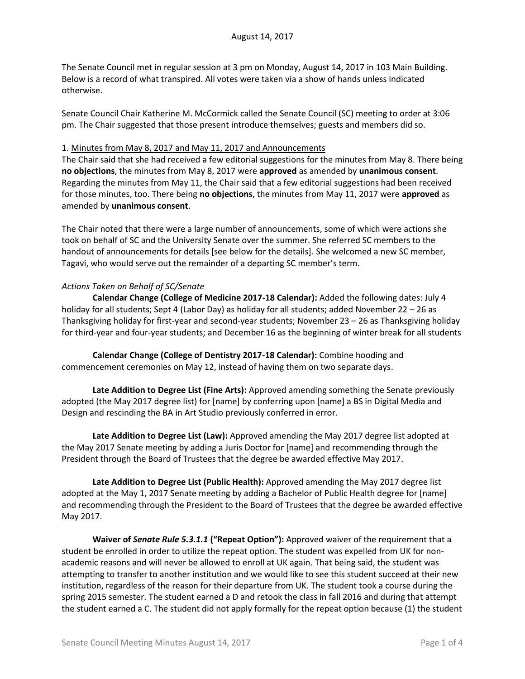The Senate Council met in regular session at 3 pm on Monday, August 14, 2017 in 103 Main Building. Below is a record of what transpired. All votes were taken via a show of hands unless indicated otherwise.

Senate Council Chair Katherine M. McCormick called the Senate Council (SC) meeting to order at 3:06 pm. The Chair suggested that those present introduce themselves; guests and members did so.

#### 1. Minutes from May 8, 2017 and May 11, 2017 and Announcements

The Chair said that she had received a few editorial suggestions for the minutes from May 8. There being **no objections**, the minutes from May 8, 2017 were **approved** as amended by **unanimous consent**. Regarding the minutes from May 11, the Chair said that a few editorial suggestions had been received for those minutes, too. There being **no objections**, the minutes from May 11, 2017 were **approved** as amended by **unanimous consent**.

The Chair noted that there were a large number of announcements, some of which were actions she took on behalf of SC and the University Senate over the summer. She referred SC members to the handout of announcements for details [see below for the details]. She welcomed a new SC member, Tagavi, who would serve out the remainder of a departing SC member's term.

### *Actions Taken on Behalf of SC/Senate*

**Calendar Change (College of Medicine 2017-18 Calendar):** Added the following dates: July 4 holiday for all students; Sept 4 (Labor Day) as holiday for all students; added November 22 – 26 as Thanksgiving holiday for first-year and second-year students; November 23 – 26 as Thanksgiving holiday for third-year and four-year students; and December 16 as the beginning of winter break for all students

**Calendar Change (College of Dentistry 2017-18 Calendar):** Combine hooding and commencement ceremonies on May 12, instead of having them on two separate days.

**Late Addition to Degree List (Fine Arts):** Approved amending something the Senate previously adopted (the May 2017 degree list) for [name] by conferring upon [name] a BS in Digital Media and Design and rescinding the BA in Art Studio previously conferred in error.

**Late Addition to Degree List (Law):** Approved amending the May 2017 degree list adopted at the May 2017 Senate meeting by adding a Juris Doctor for [name] and recommending through the President through the Board of Trustees that the degree be awarded effective May 2017.

**Late Addition to Degree List (Public Health):** Approved amending the May 2017 degree list adopted at the May 1, 2017 Senate meeting by adding a Bachelor of Public Health degree for [name] and recommending through the President to the Board of Trustees that the degree be awarded effective May 2017.

**Waiver of** *Senate Rule 5.3.1.1* **("Repeat Option"):** Approved waiver of the requirement that a student be enrolled in order to utilize the repeat option. The student was expelled from UK for nonacademic reasons and will never be allowed to enroll at UK again. That being said, the student was attempting to transfer to another institution and we would like to see this student succeed at their new institution, regardless of the reason for their departure from UK. The student took a course during the spring 2015 semester. The student earned a D and retook the class in fall 2016 and during that attempt the student earned a C. The student did not apply formally for the repeat option because (1) the student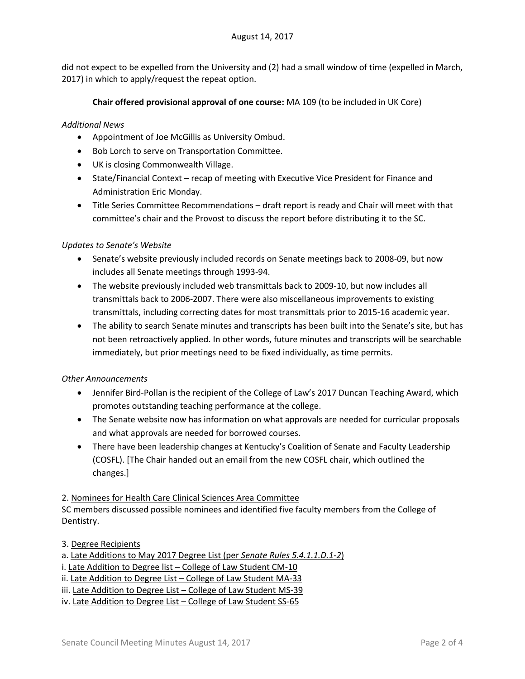did not expect to be expelled from the University and (2) had a small window of time (expelled in March, 2017) in which to apply/request the repeat option.

# **Chair offered provisional approval of one course:** MA 109 (to be included in UK Core)

### *Additional News*

- Appointment of Joe McGillis as University Ombud.
- Bob Lorch to serve on Transportation Committee.
- UK is closing Commonwealth Village.
- State/Financial Context recap of meeting with Executive Vice President for Finance and Administration Eric Monday.
- Title Series Committee Recommendations draft report is ready and Chair will meet with that committee's chair and the Provost to discuss the report before distributing it to the SC.

# *Updates to Senate's Website*

- Senate's website previously included records on Senate meetings back to 2008-09, but now includes all Senate meetings through 1993-94.
- The website previously included web transmittals back to 2009-10, but now includes all transmittals back to 2006-2007. There were also miscellaneous improvements to existing transmittals, including correcting dates for most transmittals prior to 2015-16 academic year.
- The ability to search Senate minutes and transcripts has been built into the Senate's site, but has not been retroactively applied. In other words, future minutes and transcripts will be searchable immediately, but prior meetings need to be fixed individually, as time permits.

### *Other Announcements*

- Jennifer Bird-Pollan is the recipient of the College of Law's 2017 Duncan Teaching Award, which promotes outstanding teaching performance at the college.
- The Senate website now has information on what approvals are needed for curricular proposals and what approvals are needed for borrowed courses.
- There have been leadership changes at Kentucky's Coalition of Senate and Faculty Leadership (COSFL). [The Chair handed out an email from the new COSFL chair, which outlined the changes.]

2. Nominees for Health Care Clinical Sciences Area Committee

SC members discussed possible nominees and identified five faculty members from the College of Dentistry.

3. Degree Recipients

a. Late Additions to May 2017 Degree List (per *Senate Rules 5.4.1.1.D.1-2*)

i. Late Addition to Degree list – College of Law Student CM-10

ii. Late Addition to Degree List – College of Law Student MA-33

iii. Late Addition to Degree List – College of Law Student MS-39

iv. Late Addition to Degree List – College of Law Student SS-65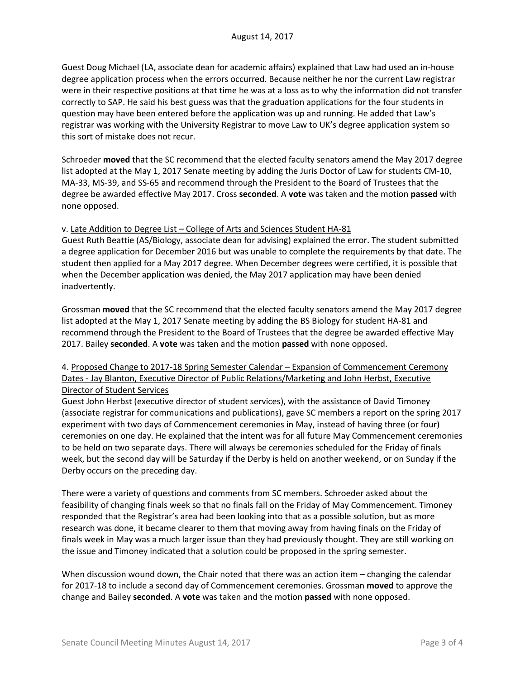Guest Doug Michael (LA, associate dean for academic affairs) explained that Law had used an in-house degree application process when the errors occurred. Because neither he nor the current Law registrar were in their respective positions at that time he was at a loss as to why the information did not transfer correctly to SAP. He said his best guess was that the graduation applications for the four students in question may have been entered before the application was up and running. He added that Law's registrar was working with the University Registrar to move Law to UK's degree application system so this sort of mistake does not recur.

Schroeder **moved** that the SC recommend that the elected faculty senators amend the May 2017 degree list adopted at the May 1, 2017 Senate meeting by adding the Juris Doctor of Law for students CM-10, MA-33, MS-39, and SS-65 and recommend through the President to the Board of Trustees that the degree be awarded effective May 2017. Cross **seconded**. A **vote** was taken and the motion **passed** with none opposed.

### v. Late Addition to Degree List – College of Arts and Sciences Student HA-81

Guest Ruth Beattie (AS/Biology, associate dean for advising) explained the error. The student submitted a degree application for December 2016 but was unable to complete the requirements by that date. The student then applied for a May 2017 degree. When December degrees were certified, it is possible that when the December application was denied, the May 2017 application may have been denied inadvertently.

Grossman **moved** that the SC recommend that the elected faculty senators amend the May 2017 degree list adopted at the May 1, 2017 Senate meeting by adding the BS Biology for student HA-81 and recommend through the President to the Board of Trustees that the degree be awarded effective May 2017. Bailey **seconded**. A **vote** was taken and the motion **passed** with none opposed.

# 4. Proposed Change to 2017-18 Spring Semester Calendar – Expansion of Commencement Ceremony Dates - Jay Blanton, Executive Director of Public Relations/Marketing and John Herbst, Executive Director of Student Services

Guest John Herbst (executive director of student services), with the assistance of David Timoney (associate registrar for communications and publications), gave SC members a report on the spring 2017 experiment with two days of Commencement ceremonies in May, instead of having three (or four) ceremonies on one day. He explained that the intent was for all future May Commencement ceremonies to be held on two separate days. There will always be ceremonies scheduled for the Friday of finals week, but the second day will be Saturday if the Derby is held on another weekend, or on Sunday if the Derby occurs on the preceding day.

There were a variety of questions and comments from SC members. Schroeder asked about the feasibility of changing finals week so that no finals fall on the Friday of May Commencement. Timoney responded that the Registrar's area had been looking into that as a possible solution, but as more research was done, it became clearer to them that moving away from having finals on the Friday of finals week in May was a much larger issue than they had previously thought. They are still working on the issue and Timoney indicated that a solution could be proposed in the spring semester.

When discussion wound down, the Chair noted that there was an action item – changing the calendar for 2017-18 to include a second day of Commencement ceremonies. Grossman **moved** to approve the change and Bailey **seconded**. A **vote** was taken and the motion **passed** with none opposed.